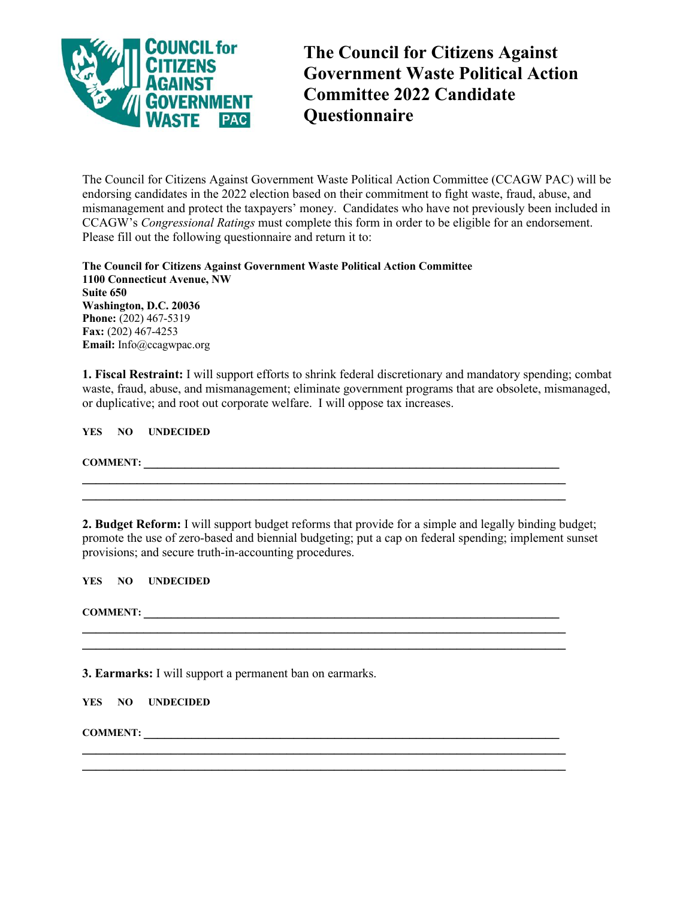

**The Council for Citizens Against Government Waste Political Action Committee 2022 Candidate Questionnaire** 

The Council for Citizens Against Government Waste Political Action Committee (CCAGW PAC) will be endorsing candidates in the 2022 election based on their commitment to fight waste, fraud, abuse, and mismanagement and protect the taxpayers' money. Candidates who have not previously been included in CCAGW's *Congressional Ratings* must complete this form in order to be eligible for an endorsement. Please fill out the following questionnaire and return it to:

**The Council for Citizens Against Government Waste Political Action Committee 1100 Connecticut Avenue, NW Suite 650 Washington, D.C. 20036 Phone:** (202) 467-5319 **Fax:** (202) 467-4253 **Email:** Info@ccagwpac.org

**1. Fiscal Restraint:** I will support efforts to shrink federal discretionary and mandatory spending; combat waste, fraud, abuse, and mismanagement; eliminate government programs that are obsolete, mismanaged, or duplicative; and root out corporate welfare. I will oppose tax increases.

**YES NO UNDECIDED** 

**COMMENT:** 

**2. Budget Reform:** I will support budget reforms that provide for a simple and legally binding budget; promote the use of zero-based and biennial budgeting; put a cap on federal spending; implement sunset provisions; and secure truth-in-accounting procedures.

**\_\_\_\_\_\_\_\_\_\_\_\_\_\_\_\_\_\_\_\_\_\_\_\_\_\_\_\_\_\_\_\_\_\_\_\_\_\_\_\_\_\_\_\_\_\_\_\_\_\_\_\_\_\_\_\_\_\_\_\_\_\_\_\_\_\_\_\_\_\_\_** 

**\_\_\_\_\_\_\_\_\_\_\_\_\_\_\_\_\_\_\_\_\_\_\_\_\_\_\_\_\_\_\_\_\_\_\_\_\_\_\_\_\_\_\_\_\_\_\_\_\_\_\_\_\_\_\_\_\_\_\_\_\_\_\_\_\_\_\_\_\_\_\_** 

 $\mathcal{L}_\mathcal{L} = \{ \mathcal{L}_\mathcal{L} = \{ \mathcal{L}_\mathcal{L} = \{ \mathcal{L}_\mathcal{L} = \{ \mathcal{L}_\mathcal{L} = \{ \mathcal{L}_\mathcal{L} = \{ \mathcal{L}_\mathcal{L} = \{ \mathcal{L}_\mathcal{L} = \{ \mathcal{L}_\mathcal{L} = \{ \mathcal{L}_\mathcal{L} = \{ \mathcal{L}_\mathcal{L} = \{ \mathcal{L}_\mathcal{L} = \{ \mathcal{L}_\mathcal{L} = \{ \mathcal{L}_\mathcal{L} = \{ \mathcal{L}_\mathcal{$ 

 $\mathcal{L} = \{ \mathcal{L} \mathcal{L} \mathcal{L} \mathcal{L} \mathcal{L} \mathcal{L} \mathcal{L} \mathcal{L} \mathcal{L} \mathcal{L} \mathcal{L} \mathcal{L} \mathcal{L} \mathcal{L} \mathcal{L} \mathcal{L} \mathcal{L} \mathcal{L} \mathcal{L} \mathcal{L} \mathcal{L} \mathcal{L} \mathcal{L} \mathcal{L} \mathcal{L} \mathcal{L} \mathcal{L} \mathcal{L} \mathcal{L} \mathcal{L} \mathcal{L} \mathcal{L} \mathcal{L} \mathcal{L} \mathcal{L} \$ 

**YES NO UNDECIDED** 

**COMMENT: \_\_\_\_\_\_\_\_\_\_\_\_\_\_\_\_\_\_\_\_\_\_\_\_\_\_\_\_\_\_\_\_\_\_\_\_\_\_\_\_\_\_\_\_\_\_\_\_\_\_\_\_\_\_\_\_\_\_\_\_\_** 

**3. Earmarks:** I will support a permanent ban on earmarks.

**YES NO UNDECIDED** 

**COMMENT: \_\_\_\_\_\_\_\_\_\_\_\_\_\_\_\_\_\_\_\_\_\_\_\_\_\_\_\_\_\_\_\_\_\_\_\_\_\_\_\_\_\_\_\_\_\_\_\_\_\_\_\_\_\_\_\_\_\_\_\_\_**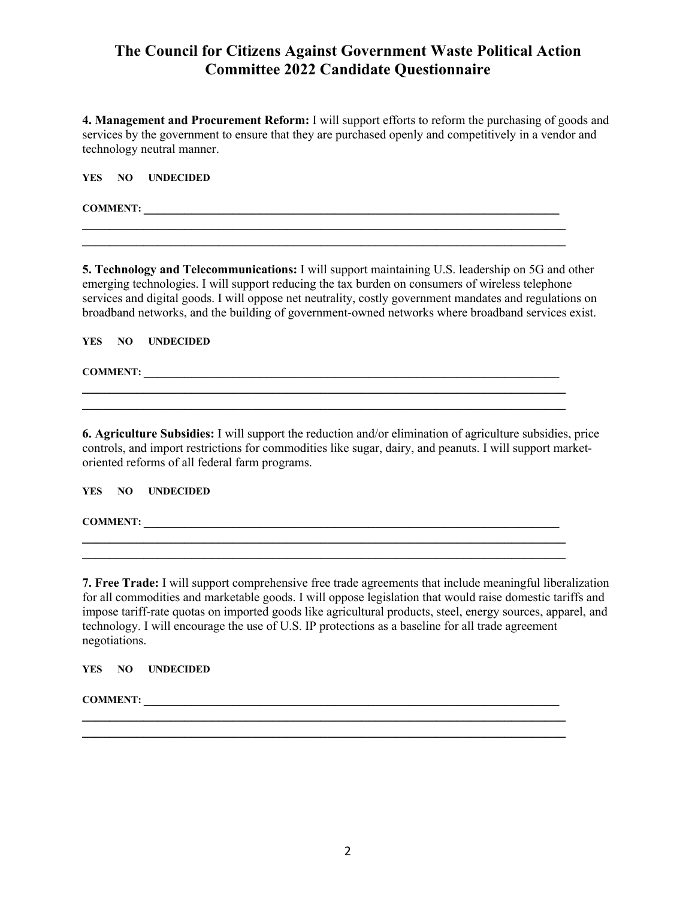## **The Council for Citizens Against Government Waste Political Action Committee 2022 Candidate Questionnaire**

**4. Management and Procurement Reform:** I will support efforts to reform the purchasing of goods and services by the government to ensure that they are purchased openly and competitively in a vendor and technology neutral manner.

**\_\_\_\_\_\_\_\_\_\_\_\_\_\_\_\_\_\_\_\_\_\_\_\_\_\_\_\_\_\_\_\_\_\_\_\_\_\_\_\_\_\_\_\_\_\_\_\_\_\_\_\_\_\_\_\_\_\_\_\_\_\_\_\_\_\_\_\_\_\_\_** 

**YES NO UNDECIDED** 

**COMMENT: \_\_\_\_\_\_\_\_\_\_\_\_\_\_\_\_\_\_\_\_\_\_\_\_\_\_\_\_\_\_\_\_\_\_\_\_\_\_\_\_\_\_\_\_\_\_\_\_\_\_\_\_\_\_\_\_\_\_\_\_\_** 

**5. Technology and Telecommunications:** I will support maintaining U.S. leadership on 5G and other emerging technologies. I will support reducing the tax burden on consumers of wireless telephone services and digital goods. I will oppose net neutrality, costly government mandates and regulations on broadband networks, and the building of government-owned networks where broadband services exist.

**\_\_\_\_\_\_\_\_\_\_\_\_\_\_\_\_\_\_\_\_\_\_\_\_\_\_\_\_\_\_\_\_\_\_\_\_\_\_\_\_\_\_\_\_\_\_\_\_\_\_\_\_\_\_\_\_\_\_\_\_\_\_\_\_\_\_\_\_\_\_\_** 

**YES NO UNDECIDED** 

**COMMENT: \_\_\_\_\_\_\_\_\_\_\_\_\_\_\_\_\_\_\_\_\_\_\_\_\_\_\_\_\_\_\_\_\_\_\_\_\_\_\_\_\_\_\_\_\_\_\_\_\_\_\_\_\_\_\_\_\_\_\_\_\_** 

**6. Agriculture Subsidies:** I will support the reduction and/or elimination of agriculture subsidies, price controls, and import restrictions for commodities like sugar, dairy, and peanuts. I will support marketoriented reforms of all federal farm programs.

**\_\_\_\_\_\_\_\_\_\_\_\_\_\_\_\_\_\_\_\_\_\_\_\_\_\_\_\_\_\_\_\_\_\_\_\_\_\_\_\_\_\_\_\_\_\_\_\_\_\_\_\_\_\_\_\_\_\_\_\_\_\_\_\_\_\_\_\_\_\_\_** 

**\_\_\_\_\_\_\_\_\_\_\_\_\_\_\_\_\_\_\_\_\_\_\_\_\_\_\_\_\_\_\_\_\_\_\_\_\_\_\_\_\_\_\_\_\_\_\_\_\_\_\_\_\_\_\_\_\_\_\_\_\_\_\_\_\_\_\_\_\_\_\_** 

**\_\_\_\_\_\_\_\_\_\_\_\_\_\_\_\_\_\_\_\_\_\_\_\_\_\_\_\_\_\_\_\_\_\_\_\_\_\_\_\_\_\_\_\_\_\_\_\_\_\_\_\_\_\_\_\_\_\_\_\_\_\_\_\_\_\_\_\_\_\_\_ \_\_\_\_\_\_\_\_\_\_\_\_\_\_\_\_\_\_\_\_\_\_\_\_\_\_\_\_\_\_\_\_\_\_\_\_\_\_\_\_\_\_\_\_\_\_\_\_\_\_\_\_\_\_\_\_\_\_\_\_\_\_\_\_\_\_\_\_\_\_\_** 

## **YES NO UNDECIDED**

**COMMENT: \_\_\_\_\_\_\_\_\_\_\_\_\_\_\_\_\_\_\_\_\_\_\_\_\_\_\_\_\_\_\_\_\_\_\_\_\_\_\_\_\_\_\_\_\_\_\_\_\_\_\_\_\_\_\_\_\_\_\_\_\_** 

**7. Free Trade:** I will support comprehensive free trade agreements that include meaningful liberalization for all commodities and marketable goods. I will oppose legislation that would raise domestic tariffs and impose tariff-rate quotas on imported goods like agricultural products, steel, energy sources, apparel, and technology. I will encourage the use of U.S. IP protections as a baseline for all trade agreement negotiations.

 $\mathcal{L} = \{ \mathcal{L} \mathcal{L} \mathcal{L} \mathcal{L} \mathcal{L} \mathcal{L} \mathcal{L} \mathcal{L} \mathcal{L} \mathcal{L} \mathcal{L} \mathcal{L} \mathcal{L} \mathcal{L} \mathcal{L} \mathcal{L} \mathcal{L} \mathcal{L} \mathcal{L} \mathcal{L} \mathcal{L} \mathcal{L} \mathcal{L} \mathcal{L} \mathcal{L} \mathcal{L} \mathcal{L} \mathcal{L} \mathcal{L} \mathcal{L} \mathcal{L} \mathcal{L} \mathcal{L} \mathcal{L} \mathcal{L} \$ 

**YES NO UNDECIDED** 

**COMMENT:**